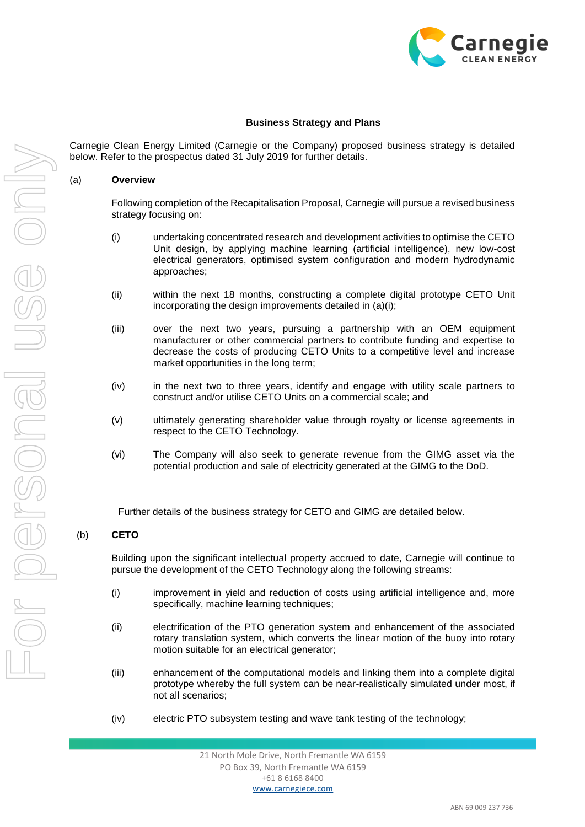

# **Business Strategy and Plans**

Carnegie Clean Energy Limited (Carnegie or the Company) proposed business strategy is detailed below. Refer to the prospectus dated 31 July 2019 for further details.

#### <span id="page-0-0"></span>(a) **Overview**

Following completion of the Recapitalisation Proposal, Carnegie will pursue a revised business strategy focusing on:

- <span id="page-0-1"></span>(i) undertaking concentrated research and development activities to optimise the CETO Unit design, by applying machine learning (artificial intelligence), new low-cost electrical generators, optimised system configuration and modern hydrodynamic approaches;
- (ii) within the next 18 months, constructing a complete digital prototype CETO Unit incorporating the design improvements detailed in [\(a\)](#page-0-0)[\(i\);](#page-0-1)
- (iii) over the next two years, pursuing a partnership with an OEM equipment manufacturer or other commercial partners to contribute funding and expertise to decrease the costs of producing CETO Units to a competitive level and increase market opportunities in the long term;
- (iv) in the next two to three years, identify and engage with utility scale partners to construct and/or utilise CETO Units on a commercial scale; and
- (v) ultimately generating shareholder value through royalty or license agreements in respect to the CETO Technology.
- (vi) The Company will also seek to generate revenue from the GIMG asset via the potential production and sale of electricity generated at the GIMG to the DoD.

Further details of the business strategy for CETO and GIMG are detailed below.

### (b) **CETO**

Building upon the significant intellectual property accrued to date, Carnegie will continue to pursue the development of the CETO Technology along the following streams:

- (i) improvement in yield and reduction of costs using artificial intelligence and, more specifically, machine learning techniques;
- (ii) electrification of the PTO generation system and enhancement of the associated rotary translation system, which converts the linear motion of the buoy into rotary motion suitable for an electrical generator;
- (iii) enhancement of the computational models and linking them into a complete digital prototype whereby the full system can be near-realistically simulated under most, if not all scenarios;
- (iv) electric PTO subsystem testing and wave tank testing of the technology;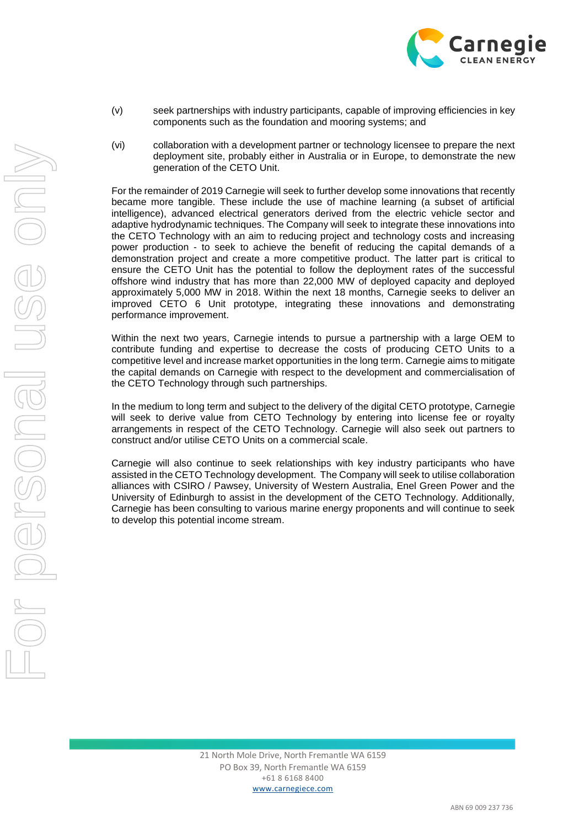

- (v) seek partnerships with industry participants, capable of improving efficiencies in key components such as the foundation and mooring systems; and
- (vi) collaboration with a development partner or technology licensee to prepare the next deployment site, probably either in Australia or in Europe, to demonstrate the new generation of the CETO Unit.

For the remainder of 2019 Carnegie will seek to further develop some innovations that recently became more tangible. These include the use of machine learning (a subset of artificial intelligence), advanced electrical generators derived from the electric vehicle sector and adaptive hydrodynamic techniques. The Company will seek to integrate these innovations into the CETO Technology with an aim to reducing project and technology costs and increasing power production - to seek to achieve the benefit of reducing the capital demands of a demonstration project and create a more competitive product. The latter part is critical to ensure the CETO Unit has the potential to follow the deployment rates of the successful offshore wind industry that has more than 22,000 MW of deployed capacity and deployed approximately 5,000 MW in 2018. Within the next 18 months, Carnegie seeks to deliver an improved CETO 6 Unit prototype, integrating these innovations and demonstrating performance improvement.

Within the next two years, Carnegie intends to pursue a partnership with a large OEM to contribute funding and expertise to decrease the costs of producing CETO Units to a competitive level and increase market opportunities in the long term. Carnegie aims to mitigate the capital demands on Carnegie with respect to the development and commercialisation of the CETO Technology through such partnerships.

In the medium to long term and subject to the delivery of the digital CETO prototype, Carnegie will seek to derive value from CETO Technology by entering into license fee or royalty arrangements in respect of the CETO Technology. Carnegie will also seek out partners to construct and/or utilise CETO Units on a commercial scale.

Carnegie will also continue to seek relationships with key industry participants who have assisted in the CETO Technology development. The Company will seek to utilise collaboration alliances with CSIRO / Pawsey, University of Western Australia, Enel Green Power and the University of Edinburgh to assist in the development of the CETO Technology. Additionally, Carnegie has been consulting to various marine energy proponents and will continue to seek to develop this potential income stream.

21 North Mole Drive, North Fremantle WA 6159 PO Box 39, North Fremantle WA 6159 +61 8 6168 8400 www.carnegiece.com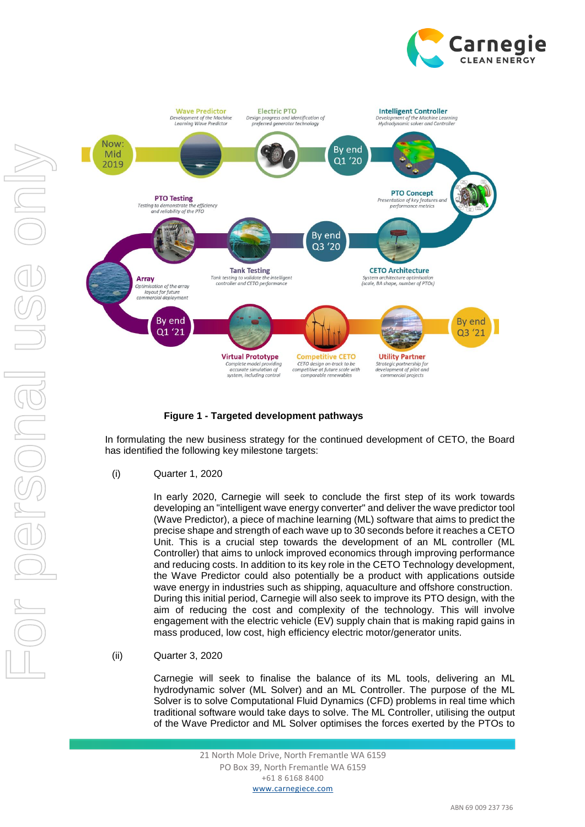



# **Figure 1 - Targeted development pathways**

In formulating the new business strategy for the continued development of CETO, the Board has identified the following key milestone targets:

(i) Quarter 1, 2020

In early 2020, Carnegie will seek to conclude the first step of its work towards developing an "intelligent wave energy converter" and deliver the wave predictor tool (Wave Predictor), a piece of machine learning (ML) software that aims to predict the precise shape and strength of each wave up to 30 seconds before it reaches a CETO Unit. This is a crucial step towards the development of an ML controller (ML Controller) that aims to unlock improved economics through improving performance and reducing costs. In addition to its key role in the CETO Technology development, the Wave Predictor could also potentially be a product with applications outside wave energy in industries such as shipping, aquaculture and offshore construction. During this initial period, Carnegie will also seek to improve its PTO design, with the aim of reducing the cost and complexity of the technology. This will involve engagement with the electric vehicle (EV) supply chain that is making rapid gains in mass produced, low cost, high efficiency electric motor/generator units.

(ii) Quarter 3, 2020

Carnegie will seek to finalise the balance of its ML tools, delivering an ML hydrodynamic solver (ML Solver) and an ML Controller. The purpose of the ML Solver is to solve Computational Fluid Dynamics (CFD) problems in real time which traditional software would take days to solve. The ML Controller, utilising the output of the Wave Predictor and ML Solver optimises the forces exerted by the PTOs to

> 21 North Mole Drive, North Fremantle WA 6159 PO Box 39, North Fremantle WA 6159 +61 8 6168 8400 www.carnegiece.com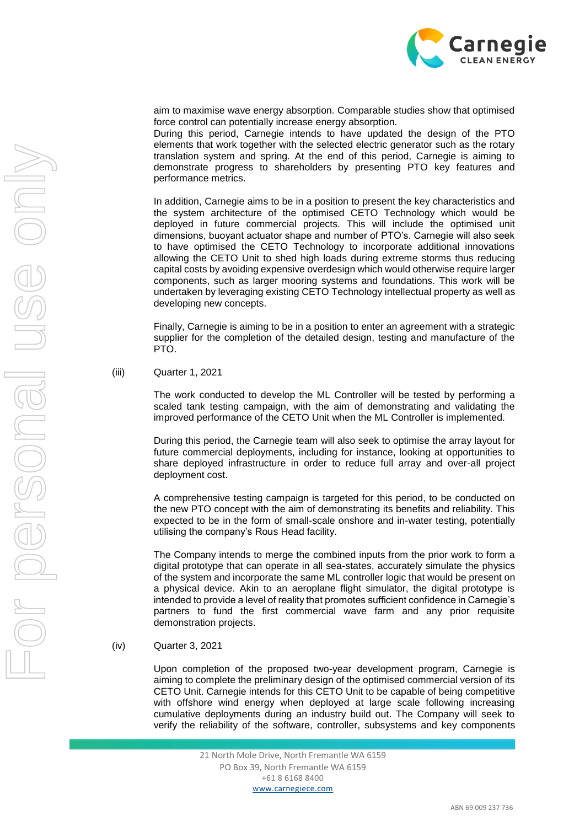

aim to maximise wave energy absorption. Comparable studies show that optimised force control can potentially increase energy absorption.

During this period, Carnegie intends to have updated the design of the PTO elements that work together with the selected electric generator such as the rotary translation system and spring. At the end of this period, Carnegie is aiming to demonstrate progress to shareholders by presenting PTO key features and performance metrics.

In addition, Carnegie aims to be in a position to present the key characteristics and the system architecture of the optimised CETO Technology which would be deployed in future commercial projects. This will include the optimised unit dimensions, buoyant actuator shape and number of PTO's. Carnegie will also seek to have optimised the CETO Technology to incorporate additional innovations allowing the CETO Unit to shed high loads during extreme storms thus reducing capital costs by avoiding expensive overdesign which would otherwise require larger components, such as larger mooring systems and foundations. This work will be undertaken by leveraging existing CETO Technology intellectual property as well as developing new concepts.

Finally, Carnegie is aiming to be in a position to enter an agreement with a strategic supplier for the completion of the detailed design, testing and manufacture of the PTO.

(iii) Quarter 1, 2021

The work conducted to develop the ML Controller will be tested by performing a scaled tank testing campaign, with the aim of demonstrating and validating the improved performance of the CETO Unit when the ML Controller is implemented.

During this period, the Carnegie team will also seek to optimise the array layout for future commercial deployments, including for instance, looking at opportunities to share deployed infrastructure in order to reduce full array and over-all project deployment cost.

A comprehensive testing campaign is targeted for this period, to be conducted on the new PTO concept with the aim of demonstrating its benefits and reliability. This expected to be in the form of small-scale onshore and in-water testing, potentially utilising the company's Rous Head facility.

The Company intends to merge the combined inputs from the prior work to form a digital prototype that can operate in all sea-states, accurately simulate the physics of the system and incorporate the same ML controller logic that would be present on a physical device. Akin to an aeroplane flight simulator, the digital prototype is intended to provide a level of reality that promotes sufficient confidence in Carnegie's partners to fund the first commercial wave farm and any prior requisite demonstration projects.

(iv) Quarter 3, 2021

Upon completion of the proposed two-year development program, Carnegie is aiming to complete the preliminary design of the optimised commercial version of its CETO Unit. Carnegie intends for this CETO Unit to be capable of being competitive with offshore wind energy when deployed at large scale following increasing cumulative deployments during an industry build out. The Company will seek to verify the reliability of the software, controller, subsystems and key components

> 21 North Mole Drive, North Fremantle WA 6159 PO Box 39, North Fremantle WA 6159 +61 8 6168 8400 www.carnegiece.com